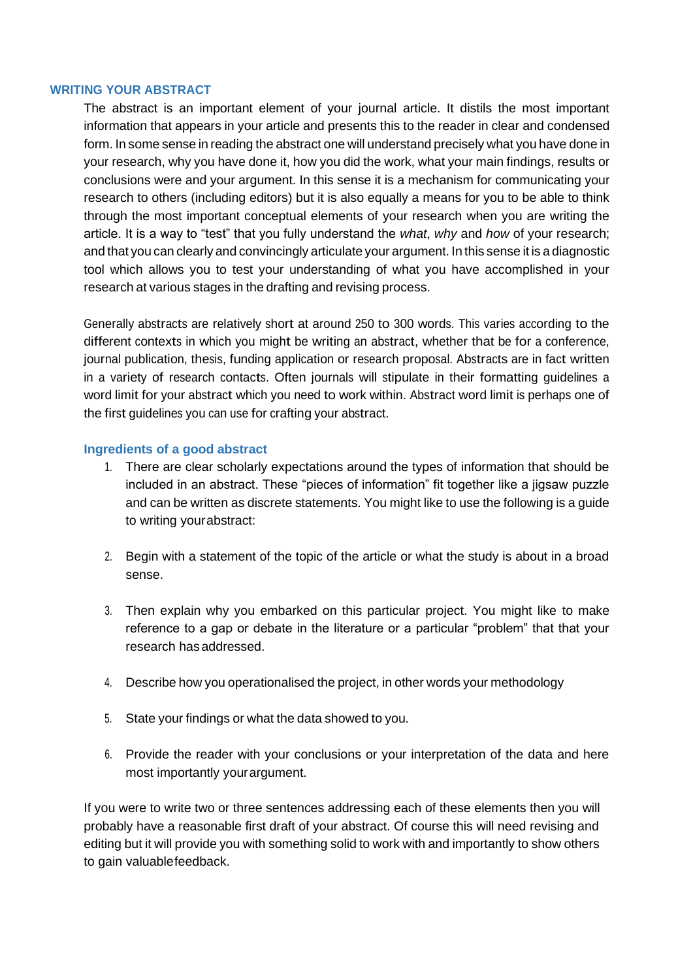#### **WRITING YOUR ABSTRACT**

The abstract is an important element of your journal article. It distils the most important information that appears in your article and presents this to the reader in clear and condensed form. In some sense in reading the abstract one will understand precisely what you have done in your research, why you have done it, how you did the work, what your main findings, results or conclusions were and your argument. In this sense it is a mechanism for communicating your research to others (including editors) but it is also equally a means for you to be able to think through the most important conceptual elements of your research when you are writing the article. It is a way to "test" that you fully understand the *what*, *why* and *how* of your research; and that you can clearly and convincingly articulate your argument. In this sense it is a diagnostic tool which allows you to test your understanding of what you have accomplished in your research at various stages in the drafting and revising process.

Generally abstracts are relatively short at around 250 to 300 words. This varies according to the different contexts in which you might be writing an abstract, whether that be for <sup>a</sup> conference, journal publication, thesis, funding application or research proposal. Abstracts are in fact written in <sup>a</sup> variety of research contacts. Often journals will stipulate in their formatting guidelines <sup>a</sup> word limit for your abstract which you need to work within. Abstract word limit is perhaps one of the first guidelines you can use for crafting your abstract.

#### **Ingredients of a good abstract**

- 1. There are clear scholarly expectations around the types of information that should be included in an abstract. These "pieces of information" fit together like a jigsaw puzzle and can be written as discrete statements. You might like to use the following is a guide to writing yourabstract:
- 2. Begin with a statement of the topic of the article or what the study is about in a broad sense.
- 3. Then explain why you embarked on this particular project. You might like to make reference to a gap or debate in the literature or a particular "problem" that that your research hasaddressed.
- 4. Describe how you operationalised the project, in other words your methodology
- 5. State your findings or what the data showed to you.
- 6. Provide the reader with your conclusions or your interpretation of the data and here most importantly yourargument.

If you were to write two or three sentences addressing each of these elements then you will probably have a reasonable first draft of your abstract. Of course this will need revising and editing but it will provide you with something solid to work with and importantly to show others to gain valuablefeedback.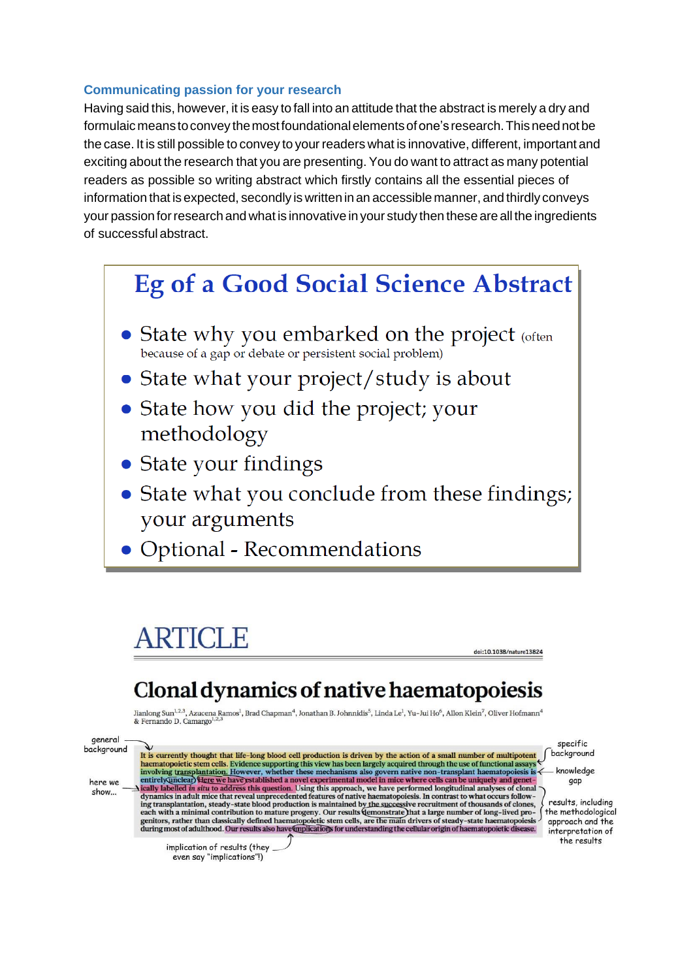#### **Communicating passion for your research**

Having said this, however, it is easy to fall into an attitude that the abstract is merely a dry and formulaic means to convey the most foundational elements of one's research. This need not be the case. It is still possible to convey to your readers what is innovative, different, important and exciting about the research that you are presenting. You do want to attract as many potential readers as possible so writing abstract which firstly contains all the essential pieces of information that is expected, secondly is written in an accessible manner, and thirdly conveys your passion for research and what is innovative in your study then these are all the ingredients of successful abstract.

# **Eg of a Good Social Science Abstract**

- State why you embarked on the project (often because of a gap or debate or persistent social problem)
- State what your project/study is about
- State how you did the project; your methodology
- State your findings
- State what you conclude from these findings; your arguments
- Optional Recommendations

# **ARTICLE**

doi:10.1038/nature13824

# Clonal dynamics of native haematopoiesis

Jianlong Sun<sup>1,2,3</sup>, Azucena Ramos<sup>1</sup>, Brad Chapman<sup>4</sup>, Jonathan B. Johnnidis<sup>5</sup>, Linda Le<sup>1</sup>, Yu-Jui Ho<sup>6</sup>, Allon Klein<sup>7</sup>, Oliver Hofmann<sup>4</sup> & Fernando D. Camargo<sup>1,2,3</sup>

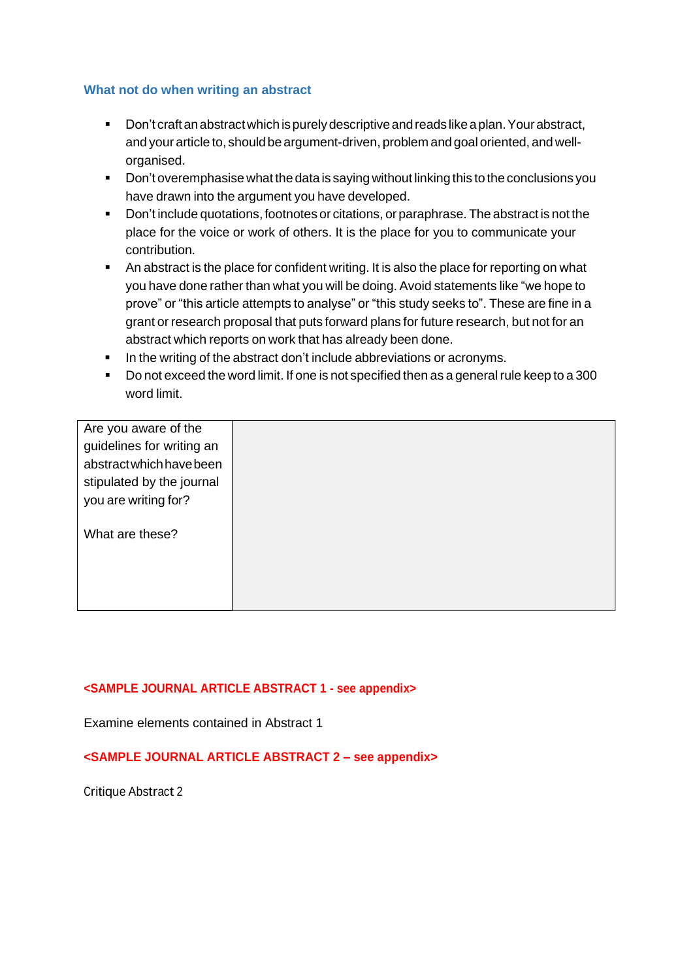#### **What not do when writing an abstract**

- Don't craft an abstract which is purely descriptive and reads like a plan. Your abstract, and your article to, shouldbe argument-driven, problem and goal oriented, and wellorganised.
- Don't overemphasise what the data is saying without linking this to the conclusions you have drawn into the argument you have developed.
- Don't include quotations, footnotes or citations, or paraphrase. The abstract is not the place for the voice or work of others. It is the place for you to communicate your contribution.
- An abstract is the place for confident writing. It is also the place for reporting on what you have done rather than what you will be doing. Avoid statements like "we hope to prove" or "this article attempts to analyse" or "this study seeks to". These are fine in a grant or research proposal that puts forward plans for future research, but not for an abstract which reports on work that has already been done.
- **•** In the writing of the abstract don't include abbreviations or acronyms.
- Do not exceed the word limit. If one is not specified then as a general rule keep to a 300 word limit.

| Are you aware of the      |  |
|---------------------------|--|
| guidelines for writing an |  |
| abstractwhich have been   |  |
| stipulated by the journal |  |
| you are writing for?      |  |
|                           |  |
| What are these?           |  |
|                           |  |
|                           |  |
|                           |  |
|                           |  |

#### **<SAMPLE JOURNAL ARTICLE ABSTRACT 1 - see appendix>**

Examine elements contained in Abstract 1

### **<SAMPLE JOURNAL ARTICLE ABSTRACT 2 – see appendix>**

Critique Abstract <sup>2</sup>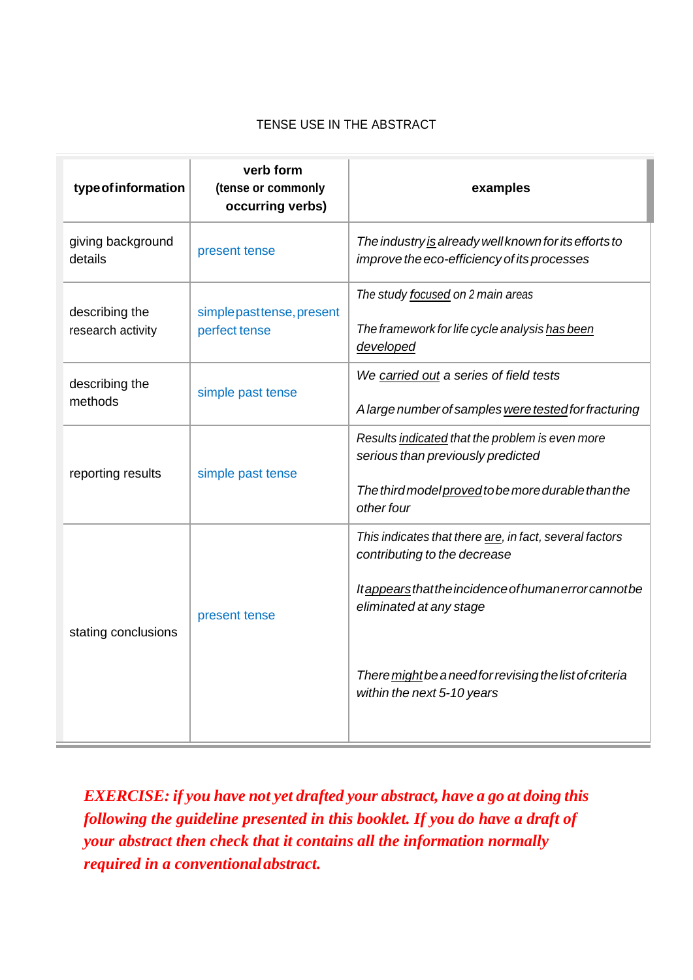## TENSE USE IN THE ABSTRACT

| type of information                 | verb form<br>(tense or commonly<br>occurring verbs) | examples                                                                                                                                                                                                                                                             |
|-------------------------------------|-----------------------------------------------------|----------------------------------------------------------------------------------------------------------------------------------------------------------------------------------------------------------------------------------------------------------------------|
| giving background<br>details        | present tense                                       | The industry is already well known for its efforts to<br>improve the eco-efficiency of its processes                                                                                                                                                                 |
| describing the<br>research activity | simple past tense, present<br>perfect tense         | The study focused on 2 main areas<br>The framework for life cycle analysis has been<br>developed                                                                                                                                                                     |
| describing the<br>methods           | simple past tense                                   | We carried out a series of field tests<br>A large number of samples were tested for fracturing                                                                                                                                                                       |
| reporting results                   | simple past tense                                   | Results indicated that the problem is even more<br>serious than previously predicted<br>The third model proved to be more durable than the<br>other four                                                                                                             |
| stating conclusions                 | present tense                                       | This indicates that there are, in fact, several factors<br>contributing to the decrease<br>Itappears that the incidence of human error cannot be<br>eliminated at any stage<br>There might be a need for revising the list of criteria<br>within the next 5-10 years |

*EXERCISE: if you have not yet drafted your abstract, have a go at doing this following the guideline presented in this booklet. If you do have a draft of your abstract then check that it contains all the information normally required in a conventionalabstract.*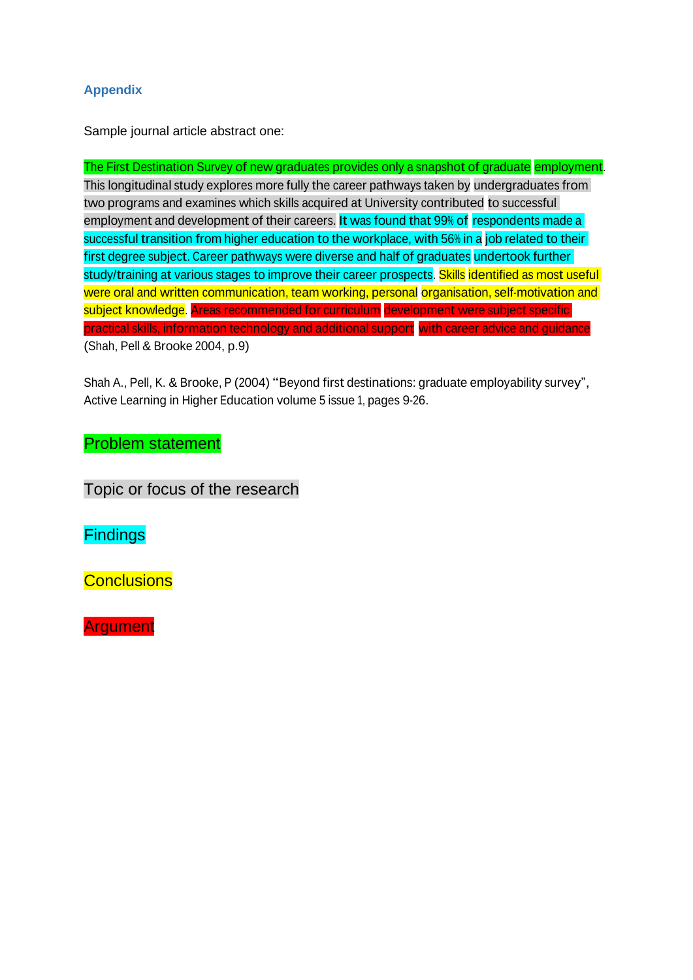## **Appendix**

Sample journal article abstract one:

The First Destination Survey of new graduates provides only a snapshot of graduate employment. This longitudinal study explores more fully the career pathways taken by undergraduates from two programs and examines which skills acquired at University contributed to successful employment and development of their careers. It was found that 99% of respondents made a successful transition from higher education to the workplace, with 56% in a job related to their first degree subject. Career pathways were diverse and half of graduates undertook further study/training at various stages to improve their career prospects. Skills identified as most useful were oral and written communication, team working, personal organisation, self-motivation and subject knowledge. Areas recommended for curriculum development were subject specific practical skills, information technology and additional support with career advice and guidance (Shah, Pell & Brooke 2004, p.9)

Shah A., Pell, K. & Brooke, <sup>P</sup> (2004) "Beyond first destinations: graduate employability survey", Active Learning in Higher Education volume 5 issue 1, pages 9-26.

# Problem statement

Topic or focus of the research

**Findings** 

**Conclusions** 

**Argument**